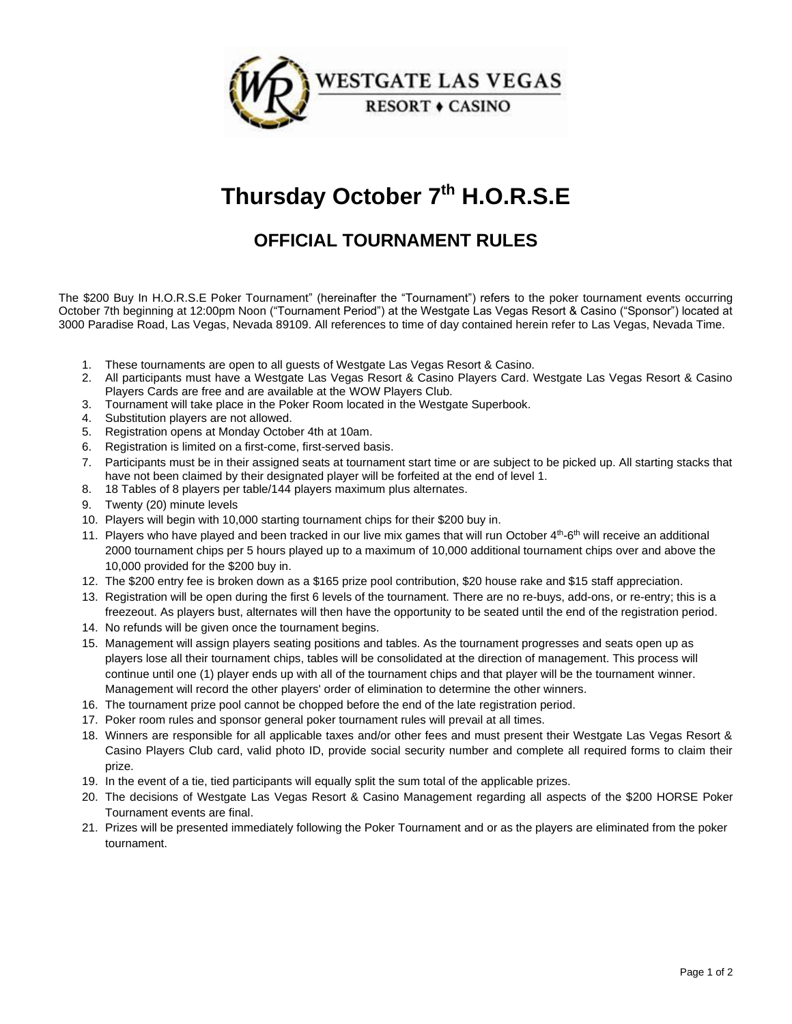

## **Thursday October 7 th H.O.R.S.E**

## **OFFICIAL TOURNAMENT RULES**

The \$200 Buy In H.O.R.S.E Poker Tournament" (hereinafter the "Tournament") refers to the poker tournament events occurring October 7th beginning at 12:00pm Noon ("Tournament Period") at the Westgate Las Vegas Resort & Casino ("Sponsor") located at 3000 Paradise Road, Las Vegas, Nevada 89109. All references to time of day contained herein refer to Las Vegas, Nevada Time.

- 1. These tournaments are open to all guests of Westgate Las Vegas Resort & Casino.
- 2. All participants must have a Westgate Las Vegas Resort & Casino Players Card. Westgate Las Vegas Resort & Casino Players Cards are free and are available at the WOW Players Club.
- 3. Tournament will take place in the Poker Room located in the Westgate Superbook.
- 4. Substitution players are not allowed.
- 5. Registration opens at Monday October 4th at 10am.
- 6. Registration is limited on a first-come, first-served basis.
- 7. Participants must be in their assigned seats at tournament start time or are subject to be picked up. All starting stacks that have not been claimed by their designated player will be forfeited at the end of level 1.
- 8. 18 Tables of 8 players per table/144 players maximum plus alternates.
- 9. Twenty (20) minute levels
- 10. Players will begin with 10,000 starting tournament chips for their \$200 buy in.
- 11. Players who have played and been tracked in our live mix games that will run October  $4<sup>th</sup>$ -6<sup>th</sup> will receive an additional 2000 tournament chips per 5 hours played up to a maximum of 10,000 additional tournament chips over and above the 10,000 provided for the \$200 buy in.
- 12. The \$200 entry fee is broken down as a \$165 prize pool contribution, \$20 house rake and \$15 staff appreciation.
- 13. Registration will be open during the first 6 levels of the tournament. There are no re-buys, add-ons, or re-entry; this is a freezeout. As players bust, alternates will then have the opportunity to be seated until the end of the registration period.
- 14. No refunds will be given once the tournament begins.
- 15. Management will assign players seating positions and tables. As the tournament progresses and seats open up as players lose all their tournament chips, tables will be consolidated at the direction of management. This process will continue until one (1) player ends up with all of the tournament chips and that player will be the tournament winner. Management will record the other players' order of elimination to determine the other winners.
- 16. The tournament prize pool cannot be chopped before the end of the late registration period.
- 17. Poker room rules and sponsor general poker tournament rules will prevail at all times.
- 18. Winners are responsible for all applicable taxes and/or other fees and must present their Westgate Las Vegas Resort & Casino Players Club card, valid photo ID, provide social security number and complete all required forms to claim their prize.
- 19. In the event of a tie, tied participants will equally split the sum total of the applicable prizes.
- 20. The decisions of Westgate Las Vegas Resort & Casino Management regarding all aspects of the \$200 HORSE Poker Tournament events are final.
- 21. Prizes will be presented immediately following the Poker Tournament and or as the players are eliminated from the poker tournament.